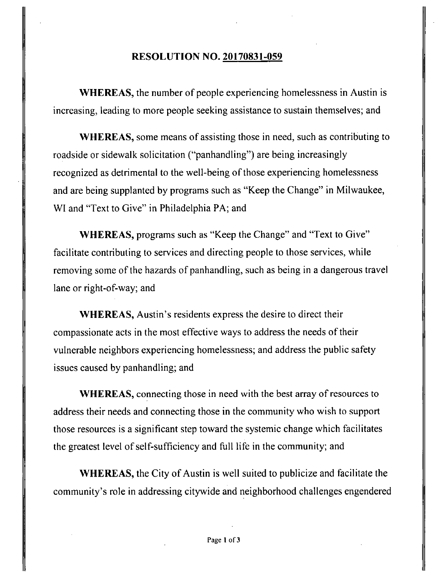## RESOLUTION NO. 20170831-059

WHEREAS, the number of people experiencing homelessness in Austin is increasing, leading to more people seeking assistance to sustain themselves; and

WHEREAS, some means of assisting those in need, such as contributing to roadside or sidewalk solicitation ("panhandling") are being increasingly recognized as detrimental to the well-being of those experiencing homelessness and are being supplanted by programs such as "Keep the Change" in Milwaukee, WI and "Text to Give" in Philadelphia PA; and

WHEREAS, programs such as "Keep the Change" and "Text to Give" facilitate contributing to services and directing people to those services, while removing some of the hazards of panhandling, such as being in a dangerous travel lane or right-of-way; and

WHEREAS, Austin's residents express the desire to direct their compassionate acts in the most effective ways to address the needs of their vulnerable neighbors experiencing homelessness; and address the public safety issues caused by panhandling; and

WHEREAS, connecting those in need with the best array of resources to address their needs and connecting those in the community who wish to support those resources is a significant step toward the systemic change which facilitates the greatest level of self-sufficiency and ftill life in the community; and

WHEREAS, the City of Austin is well suited to publicize and facilitate the community's role in addressing citywide and neighborhood challenges engendered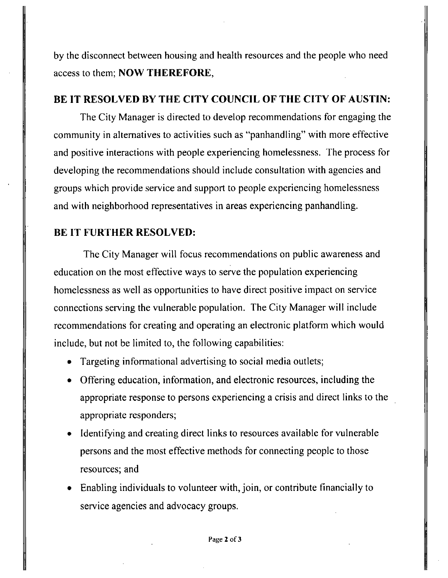**by the disconnect between housing and health resources and the people who need access to them; NOW THEREFORE,** 

## **BE IT RESOLVED BY THE CITY COUNCIL OF THE CITY OF AUSTIN:**

The City Manager is directed to develop recommendations for engaging the community in alternatives to activities such as "panhandling" with more effective and positive interactions with people experiencing homelessness. The process for developing the recommendations should include consultation with agencies and groups which provide service and support to people experiencing homelessness and with neighborhood representatives in areas experiencing panhandling.

## **BE IT FURTHER RESOLVED:**

The City Manager will focus recommendations on public awareness and education on the most effective ways to serve the population experiencing homelessness as well as opportunities to have direct positive impact on service connections serving the vulnerable population. The City Manager will include recommendations for creating and operating an electronic platform which would include, but not be limited to, the following capabilities:

- Targeting informational advertising to social media outlets;
- Offering education, information, and electronic resources, including the appropriate response to persons experiencing a crisis and direct links to the appropriate responders;
- Identifying and creating direct links to resources available for vulnerable persons and the most effective methods for connecting people to those resources; and
- Enabling individuals to volunteer with, join, or contribute financially to service agencies and advocacy groups.